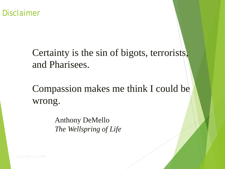Disclaimer

### Certainty is the sin of bigots, terrorists, and Pharisees.

Compassion makes me think I could be wrong.

> Anthony DeMello *The Wellspring of Life*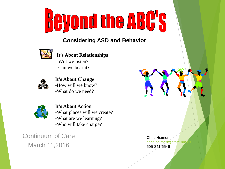

#### **Considering ASD and Behavior**



#### **It's About Relationships**

-Will we listen? -Can we bear it?



**It's About Change** -How will we know? -What do we need?



**It's About Action** -What places will we create? -What are we learning? -Who will take charge?

Continuum of Care March 11,2016

Chris Heimerl chris.heimerl@state.nm 505-841-6546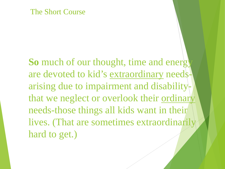#### The Short Course

**So** much of our thought, time and energy are devoted to kid's extraordinary needsarising due to impairment and disabilitythat we neglect or overlook their ordinary needs-those things all kids want in their lives. (That are sometimes extraordinarily hard to get.)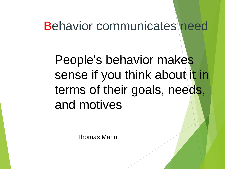### Behavior communicates need

## People's behavior makes sense if you think about it in terms of their goals, needs, and motives

Thomas Mann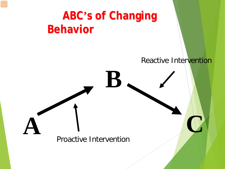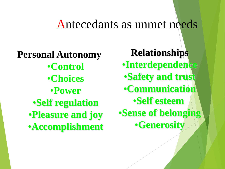### Antecedants as unmet needs

**Personal Autonomy** •**Control** •**Choices** •**Power** •**Self regulation** •**Pleasure and joy** •**Accomplishment** **Relationships**

- **•Interdependence**
- •**Safety and trust**
- •**Communication**
	- •**Self esteem**
- •**Sense of belonging** •**Generosity**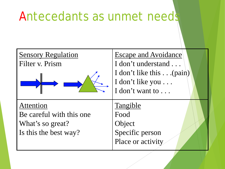### Antecedants as unmet needs

| <b>Sensory Regulation</b><br>Filter v. Prism                                       | <b>Escape and Avoidance</b><br>I don't understand<br>I don't like this (pain)<br>I don't like you<br>I don't want to |
|------------------------------------------------------------------------------------|----------------------------------------------------------------------------------------------------------------------|
| Attention<br>Be careful with this one<br>What's so great?<br>Is this the best way? | Tangible<br>Food<br>Object<br>Specific person<br>Place or activity                                                   |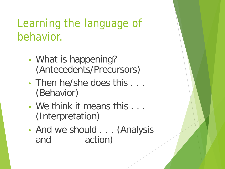### Learning the language of behavior.

- What is happening? (Antecedents/Precursors)
- Then he/she does this ... (Behavior)
- We think it means this ... (Interpretation)
- And we should . . . (Analysis and action)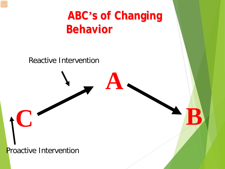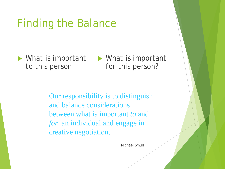### Finding the Balance

▶ What is important *to* this person

▶ What is important *for* this person?

Our responsibility is to distinguish and balance considerations between what is important *to* and *for* an individual and engage in creative negotiation.

Michael Smull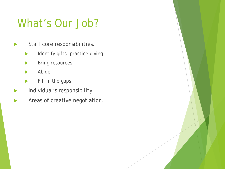### What's Our Job?

- Staff core responsibilities.
	- **Identify gifts, practice giving**
	- **Bring resources**
	- **Abide**
	- Fill in the gaps
- Individual's responsibility.
- Areas of creative negotiation.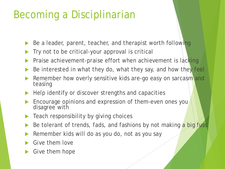### Becoming a Disciplinarian

- Be a leader, parent, teacher, and therapist worth following
- Try not to be critical-your approval is critical
- Praise achievement-praise effort when achievement is lacking
- Be interested in what they do, what they say, and how they feel
- Remember how overly sensitive kids are-go easy on sarcasm and teasing
- Help identify or discover strengths and capacities
- Encourage opinions and expression of them-even ones you disagree with
- Teach responsibility by giving choices
- Be tolerant of trends, fads, and fashions by not making a big fuss
- Remember kids will do as you do, not as you say
- Give them love
- Give them hope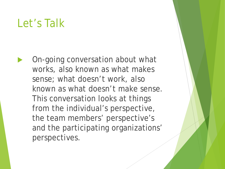### Let's Talk

 On-going conversation about what works, also known as what makes sense; what doesn't work, also known as what doesn't make sense. This conversation looks at things from the individual's perspective, the team members' perspective's and the participating organizations' perspectives.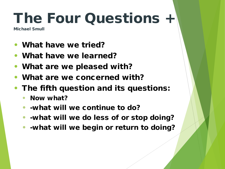## The Four Questions +

Michael Smull

- What have we tried?
- What have we learned?
- What are we pleased with?
- What are we concerned with?
- The fifth question and its questions:
	- Now what?
	- -what will we continue to do?
	- -what will we do less of or stop doing?
	- -what will we begin or return to doing?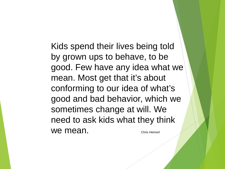Kids spend their lives being told by grown ups to behave, to be good. Few have any idea what we mean. Most get that it's about conforming to our idea of what's good and bad behavior, which we sometimes change at will. We need to ask kids what they think We mean. The chris Heimerl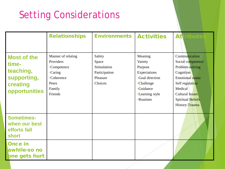### Setting Considerations

|                                                                                      | <b>Relationships</b>                                                                                  | <b>Environments</b>                                                    | <b>Activities</b>                                                                                                                 | <b>Att</b><br>tribute                                                                                                                                                                        |
|--------------------------------------------------------------------------------------|-------------------------------------------------------------------------------------------------------|------------------------------------------------------------------------|-----------------------------------------------------------------------------------------------------------------------------------|----------------------------------------------------------------------------------------------------------------------------------------------------------------------------------------------|
| <b>Most of the</b><br>time-<br>teaching,<br>supporting,<br>creating<br>opportunities | Manner of relating<br>Providers<br>•Competence<br>•Caring<br>•Coherence<br>Peers<br>Family<br>Friends | Safety<br>Space<br>Stimulation<br>Participation<br>Pleasure<br>Choices | Meaning<br>Variety<br>Purpose<br>Expectations<br>•Goal direction<br>•Challenge<br><b>Guidance</b><br>•Learning style<br>•Routines | Communication<br>Social competence<br>Problem-solving<br>Cognition<br><b>Emotional</b> status<br>Self regulation<br>Medical<br><b>Cultural Issues</b><br>Spiritual Beliefs<br>History-Trauma |
| <b>Sometimes-</b><br>when our best<br>efforts fall<br>short                          |                                                                                                       |                                                                        |                                                                                                                                   |                                                                                                                                                                                              |
| <b>Once in</b><br>awhile-so no<br><b>pne gets hurt</b>                               |                                                                                                       |                                                                        |                                                                                                                                   |                                                                                                                                                                                              |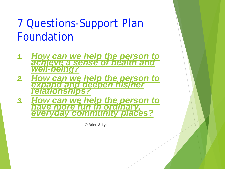### 7 Questions-Support Plan Foundation

- *1. [How can we help the person to](http://www.dimagine.com/page64.html) [achieve a sense of health and](http://www.dimagine.com/page64.html)  well-being?*
- *2. [How can we help the person to](http://www.dimagine.com/page68.html) [expand and deepen his/her relationships?](http://www.dimagine.com/page68.html)*
- *3. [How can we help the person to](http://www.dimagine.com/page70.html) [have more fun in ordinary, everyday community places?](http://www.dimagine.com/page70.html)*

O'Brien & Lyle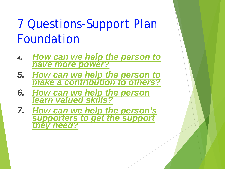## 7 Questions-Support Plan Foundation

- *4. [How can we help the person to have more power?](http://www.dimagine.com/page72.html)*
- *5. [How can we help the person to](http://www.dimagine.com/page73.html)  make a contribution to others?*
- *6. [How can we help the person](http://www.dimagine.com/page74.html)  learn valued skills?*
- *7. [How can we help the person's](http://www.dimagine.com/page75.html)  supporters to get the support they need?*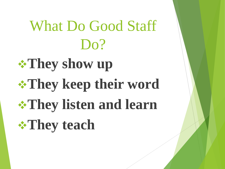# What Do Good Staff Do?

# **They show up They keep their word They listen and learn They teach**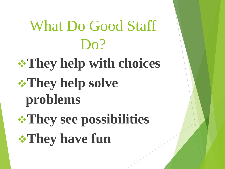# What Do Good Staff Do? **They help with choices They help solve problems They see possibilities They have fun**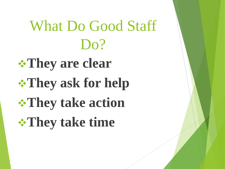# What Do Good Staff Do? **They are clear They ask for help**

**They take action They take time**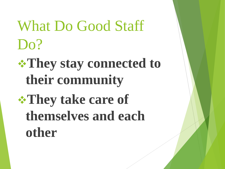## What Do Good Staff Do?

## **They stay connected to their community**

## **They take care of themselves and each other**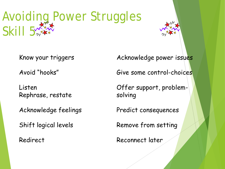## Avoiding Power Struggles Skill 5

Know your triggers

Avoid "hooks"

Listen Rephrase, restate

Acknowledge feelings

Shift logical levels

Redirect

Acknowledge power issues

Give some control-choices

Offer support, problemsolving

Predict consequences

Remove from setting

Reconnect later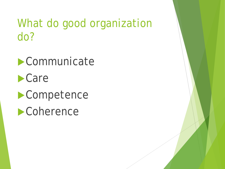### What do good organization do?

**Communicate** Care **Competence Coherence**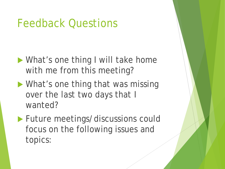### Feedback Questions

- ▶ What's one thing I will take home with me from this meeting?
- **Numerian What's one thing that was missing** over the last two days that I wanted?
- **Future meetings/discussions could** focus on the following issues and topics: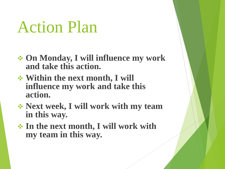## Action Plan

- **On Monday, I will influence my work and take this action.**
- **Within the next month, I will influence my work and take this action.**
- **Next week, I will work with my team in this way.**
- **In the next month, I will work with my team in this way.**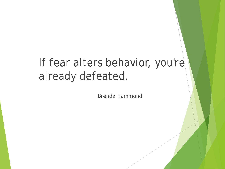### If fear alters behavior, you're already defeated.

Brenda Hammond